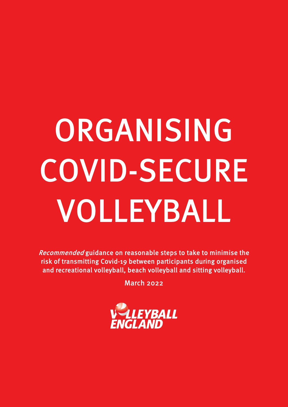## ORGANISING COVID-SECURE VOLLEYBALL

Recommended guidance on reasonable steps to take to minimise the risk of transmitting Covid-19 between participants during organised and recreational volleyball, beach volleyball and sitting volleyball.

March 2022

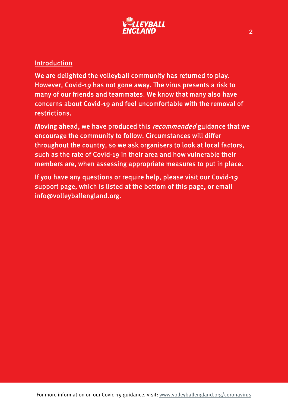

## Introduction

We are delighted the volleyball community has returned to play. However, Covid-19 has not gone away. The virus presents a risk to many of our friends and teammates. We know that many also have concerns about Covid-19 and feel uncomfortable with the removal of restrictions.

Moving ahead, we have produced this *recommended* guidance that we encourage the community to follow. Circumstances will differ throughout the country, so we ask organisers to look at local factors, such as the rate of Covid-19 in their area and how vulnerable their members are, when assessing appropriate measures to put in place.

If you have any questions or require help, please visit our Covid-19 support page, which is listed at the bottom of this page, or email info@volleyballengland.org.